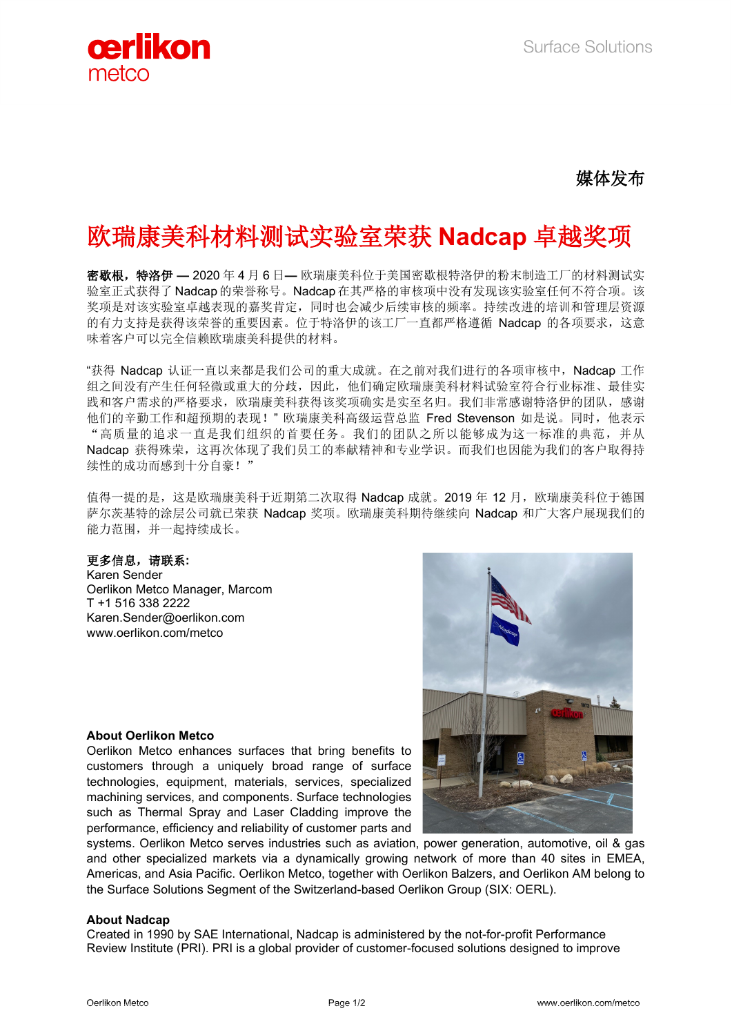

## 媒体发布

# 欧瑞康美科材料测试实验室荣获 **Nadcap** 卓越奖项

密歇根,特洛伊 **—** 2020 年 4 月 6 日**—** 欧瑞康美科位于美国密歇根特洛伊的粉末制造工厂的材料测试实 验室正式获得了 Nadcap 的荣誉称号。Nadcap 在其严格的审核项中没有发现该实验室任何不符合项。该 奖项是对该实验室卓越表现的嘉奖肯定,同时也会减少后续审核的频率。持续改进的培训和管理层资源 的有力支持是获得该荣誉的重要因素。位于特洛伊的该工厂一直都严格遵循 Nadcap 的各项要求,这意 味着客户可以完全信赖欧瑞康美科提供的材料。

"获得 Nadcap 认证一直以来都是我们公司的重大成就。在之前对我们进行的各项审核中,Nadcap 工作 组之间没有产生任何轻微或重大的分歧,因此,他们确定欧瑞康美科材料试验室符合行业标准、最佳实 践和客户需求的严格要求,欧瑞康美科获得该奖项确实是实至名归。我们非常感谢特洛伊的团队,感谢 他们的辛勤工作和超预期的表现!" 欧瑞康美科高级运营总监 Fred Stevenson 如是说。同时,他表示 "高质量的追求一直是我们组织的首要任务。我们的团队之所以能够成为这一标准的典范,并从 Nadcap 获得殊荣,这再次体现了我们员工的奉献精神和专业学识。而我们也因能为我们的客户取得持 续性的成功而感到十分自豪!"

值得一提的是,这是欧瑞康美科于近期第二次取得 Nadcap 成就。2019 年 12 月, 欧瑞康美科位于德国 萨尔茨基特的涂层公司就已荣获 Nadcap 奖项。欧瑞康美科期待继续向 Nadcap 和广大客户展现我们的 能力范围,并一起持续成长。

#### 更多信息,请联系**:**

Karen Sender Oerlikon Metco Manager, Marcom T +1 516 338 2222 [Karen.Sender@oerlikon.com](mailto:karen.sender@oerlikon.com) www.oerlikon.com/metco



### **About Oerlikon Metco**

Oerlikon Metco enhances surfaces that bring benefits to customers through a uniquely broad range of surface technologies, equipment, materials, services, specialized machining services, and components. Surface technologies such as Thermal Spray and Laser Cladding improve the performance, efficiency and reliability of customer parts and

systems. Oerlikon Metco serves industries such as aviation, power generation, automotive, oil & gas and other specialized markets via a dynamically growing network of more than 40 sites in EMEA, Americas, and Asia Pacific. Oerlikon Metco, together with Oerlikon Balzers, and Oerlikon AM belong to the Surface Solutions Segment of the Switzerland-based Oerlikon Group (SIX: OERL).

#### **About Nadcap**

Created in 1990 by SAE International, Nadcap is administered by the not-for-profit Performance Review Institute (PRI). PRI is a global provider of customer-focused solutions designed to improve